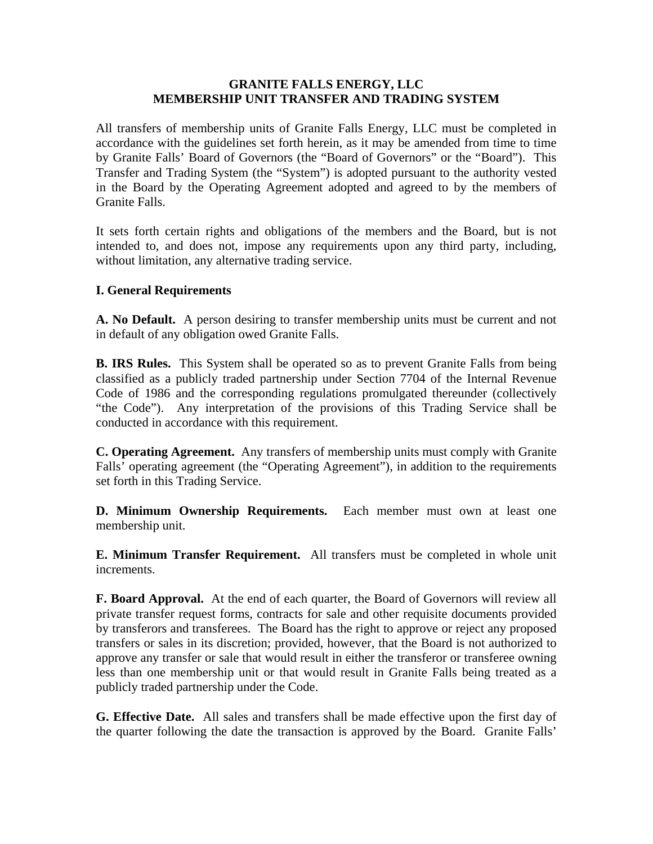### **GRANITE FALLS ENERGY, LLC MEMBERSHIP UNIT TRANSFER AND TRADING SYSTEM**

All transfers of membership units of Granite Falls Energy, LLC must be completed in accordance with the guidelines set forth herein, as it may be amended from time to time by Granite Falls' Board of Governors (the "Board of Governors" or the "Board"). This Transfer and Trading System (the "System") is adopted pursuant to the authority vested in the Board by the Operating Agreement adopted and agreed to by the members of Granite Falls.

It sets forth certain rights and obligations of the members and the Board, but is not intended to, and does not, impose any requirements upon any third party, including, without limitation, any alternative trading service.

### **I. General Requirements**

**A. No Default.** A person desiring to transfer membership units must be current and not in default of any obligation owed Granite Falls.

**B. IRS Rules.** This System shall be operated so as to prevent Granite Falls from being classified as a publicly traded partnership under Section 7704 of the Internal Revenue Code of 1986 and the corresponding regulations promulgated thereunder (collectively "the Code"). Any interpretation of the provisions of this Trading Service shall be conducted in accordance with this requirement.

**C. Operating Agreement.** Any transfers of membership units must comply with Granite Falls' operating agreement (the "Operating Agreement"), in addition to the requirements set forth in this Trading Service.

**D. Minimum Ownership Requirements.** Each member must own at least one membership unit.

**E. Minimum Transfer Requirement.** All transfers must be completed in whole unit increments.

**F. Board Approval.** At the end of each quarter, the Board of Governors will review all private transfer request forms, contracts for sale and other requisite documents provided by transferors and transferees. The Board has the right to approve or reject any proposed transfers or sales in its discretion; provided, however, that the Board is not authorized to approve any transfer or sale that would result in either the transferor or transferee owning less than one membership unit or that would result in Granite Falls being treated as a publicly traded partnership under the Code.

**G. Effective Date.** All sales and transfers shall be made effective upon the first day of the quarter following the date the transaction is approved by the Board. Granite Falls'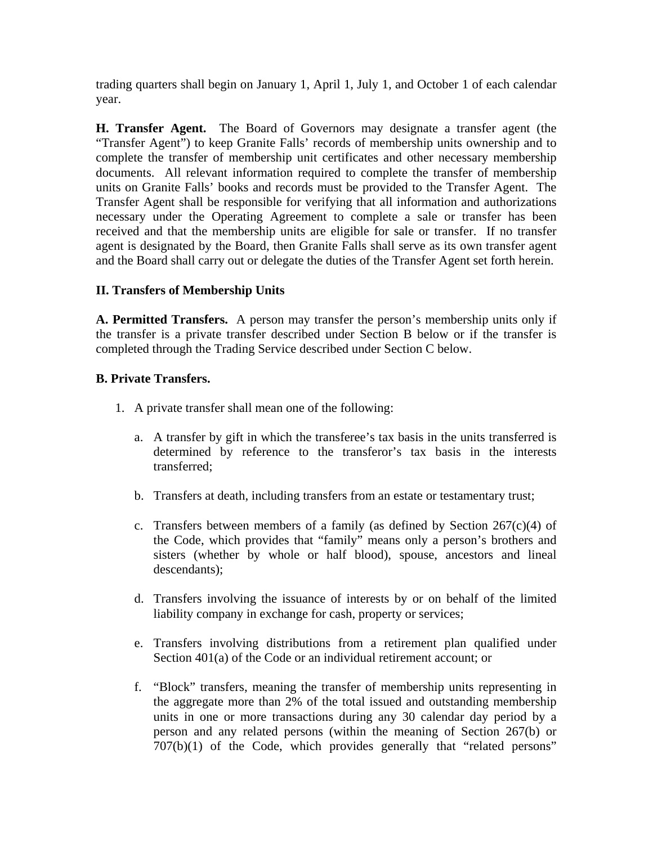trading quarters shall begin on January 1, April 1, July 1, and October 1 of each calendar year.

**H. Transfer Agent.** The Board of Governors may designate a transfer agent (the "Transfer Agent") to keep Granite Falls' records of membership units ownership and to complete the transfer of membership unit certificates and other necessary membership documents. All relevant information required to complete the transfer of membership units on Granite Falls' books and records must be provided to the Transfer Agent. The Transfer Agent shall be responsible for verifying that all information and authorizations necessary under the Operating Agreement to complete a sale or transfer has been received and that the membership units are eligible for sale or transfer. If no transfer agent is designated by the Board, then Granite Falls shall serve as its own transfer agent and the Board shall carry out or delegate the duties of the Transfer Agent set forth herein.

# **II. Transfers of Membership Units**

**A. Permitted Transfers.** A person may transfer the person's membership units only if the transfer is a private transfer described under Section B below or if the transfer is completed through the Trading Service described under Section C below.

# **B. Private Transfers.**

- 1. A private transfer shall mean one of the following:
	- a. A transfer by gift in which the transferee's tax basis in the units transferred is determined by reference to the transferor's tax basis in the interests transferred;
	- b. Transfers at death, including transfers from an estate or testamentary trust;
	- c. Transfers between members of a family (as defined by Section  $267(c)(4)$  of the Code, which provides that "family" means only a person's brothers and sisters (whether by whole or half blood), spouse, ancestors and lineal descendants);
	- d. Transfers involving the issuance of interests by or on behalf of the limited liability company in exchange for cash, property or services;
	- e. Transfers involving distributions from a retirement plan qualified under Section 401(a) of the Code or an individual retirement account; or
	- f. "Block" transfers, meaning the transfer of membership units representing in the aggregate more than 2% of the total issued and outstanding membership units in one or more transactions during any 30 calendar day period by a person and any related persons (within the meaning of Section 267(b) or 707(b)(1) of the Code, which provides generally that "related persons"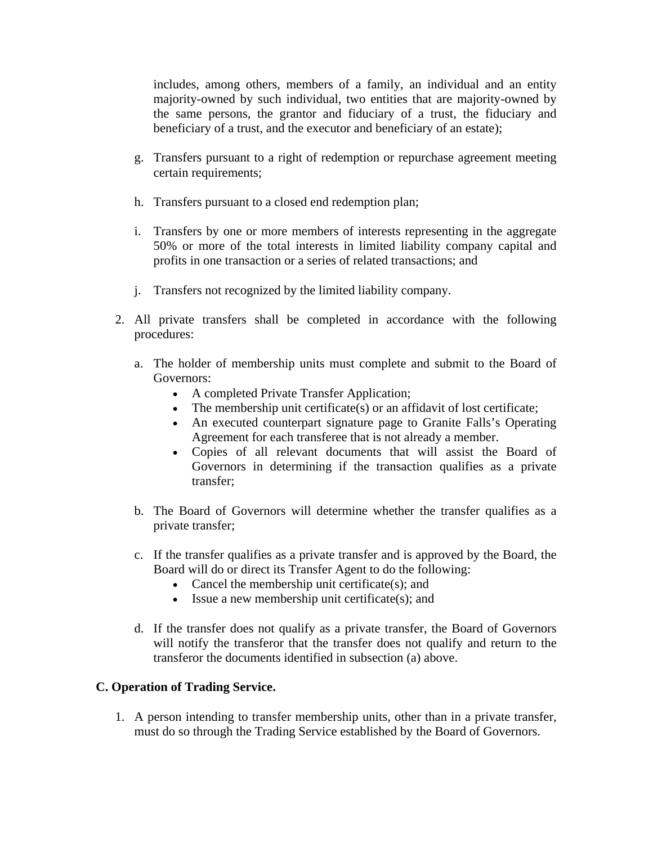includes, among others, members of a family, an individual and an entity majority-owned by such individual, two entities that are majority-owned by the same persons, the grantor and fiduciary of a trust, the fiduciary and beneficiary of a trust, and the executor and beneficiary of an estate);

- g. Transfers pursuant to a right of redemption or repurchase agreement meeting certain requirements;
- h. Transfers pursuant to a closed end redemption plan;
- i. Transfers by one or more members of interests representing in the aggregate 50% or more of the total interests in limited liability company capital and profits in one transaction or a series of related transactions; and
- j. Transfers not recognized by the limited liability company.
- 2. All private transfers shall be completed in accordance with the following procedures:
	- a. The holder of membership units must complete and submit to the Board of Governors:
		- A completed Private Transfer Application;
		- The membership unit certificate(s) or an affidavit of lost certificate;
		- An executed counterpart signature page to Granite Falls's Operating Agreement for each transferee that is not already a member.
		- Copies of all relevant documents that will assist the Board of Governors in determining if the transaction qualifies as a private transfer;
	- b. The Board of Governors will determine whether the transfer qualifies as a private transfer;
	- c. If the transfer qualifies as a private transfer and is approved by the Board, the Board will do or direct its Transfer Agent to do the following:
		- Cancel the membership unit certificate(s); and
		- Issue a new membership unit certificate(s); and
	- d. If the transfer does not qualify as a private transfer, the Board of Governors will notify the transferor that the transfer does not qualify and return to the transferor the documents identified in subsection (a) above.

# **C. Operation of Trading Service.**

1. A person intending to transfer membership units, other than in a private transfer, must do so through the Trading Service established by the Board of Governors.